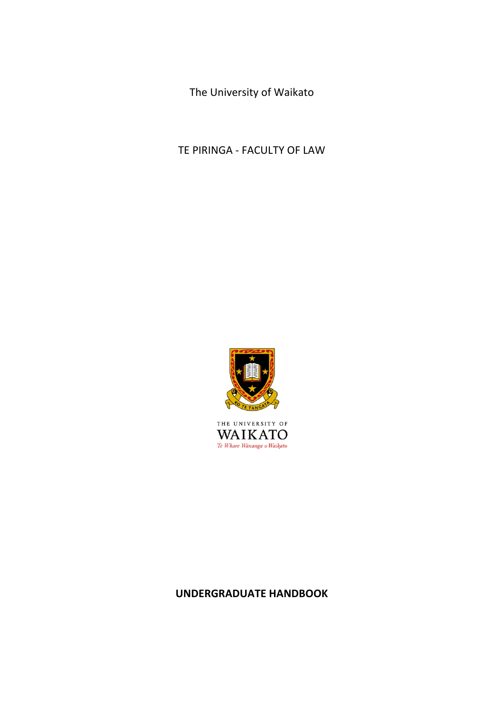The University of Waikato

TE PIRINGA - FACULTY OF LAW



THE UNIVERSITY OF  $\operatorname{\mathsf{W\!A\!I\!K\!A\!T\!O}}_{\mathit{Te\textit{ Whare\textit{ Wänanga o Waikato}}}}$ 

# **UNDERGRADUATE HANDBOOK**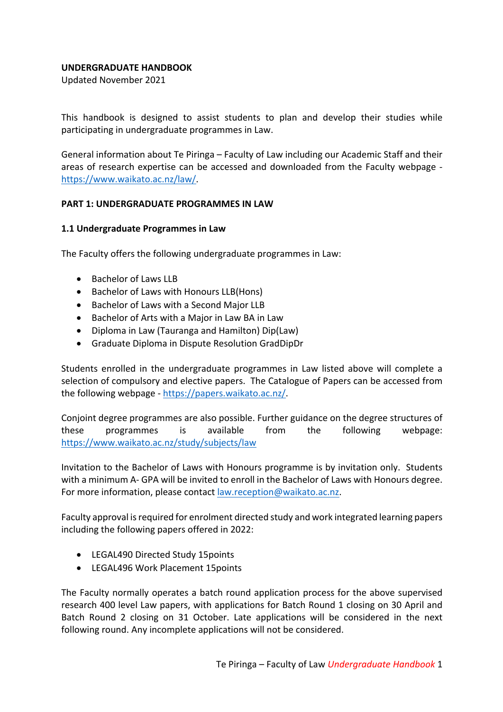#### **UNDERGRADUATE HANDBOOK**

Updated November 2021

This handbook is designed to assist students to plan and develop their studies while participating in undergraduate programmes in Law.

General information about Te Piringa – Faculty of Law including our Academic Staff and their areas of research expertise can be accessed and downloaded from the Faculty webpage https://www.waikato.ac.nz/law/.

#### **PART 1: UNDERGRADUATE PROGRAMMES IN LAW**

#### **1.1 Undergraduate Programmes in Law**

The Faculty offers the following undergraduate programmes in Law:

- Bachelor of Laws LLB
- Bachelor of Laws with Honours LLB(Hons)
- Bachelor of Laws with a Second Major LLB
- Bachelor of Arts with a Major in Law BA in Law
- Diploma in Law (Tauranga and Hamilton) Dip(Law)
- Graduate Diploma in Dispute Resolution GradDipDr

Students enrolled in the undergraduate programmes in Law listed above will complete a selection of compulsory and elective papers. The Catalogue of Papers can be accessed from the following webpage - https://papers.waikato.ac.nz/.

Conjoint degree programmes are also possible. Further guidance on the degree structures of these programmes is available from the following webpage: https://www.waikato.ac.nz/study/subjects/law

Invitation to the Bachelor of Laws with Honours programme is by invitation only. Students with a minimum A- GPA will be invited to enroll in the Bachelor of Laws with Honours degree. For more information, please contact law.reception@waikato.ac.nz.

Faculty approval is required for enrolment directed study and work integrated learning papers including the following papers offered in 2022:

- LEGAL490 Directed Study 15points
- LEGAL496 Work Placement 15points

The Faculty normally operates a batch round application process for the above supervised research 400 level Law papers, with applications for Batch Round 1 closing on 30 April and Batch Round 2 closing on 31 October. Late applications will be considered in the next following round. Any incomplete applications will not be considered.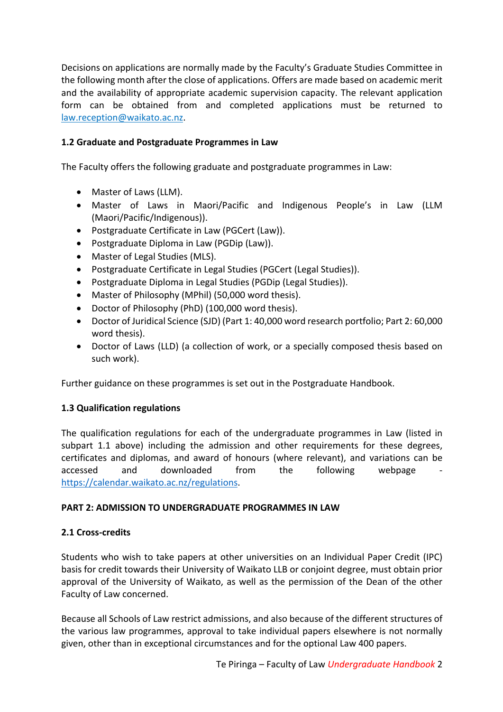Decisions on applications are normally made by the Faculty's Graduate Studies Committee in the following month after the close of applications. Offers are made based on academic merit and the availability of appropriate academic supervision capacity. The relevant application form can be obtained from and completed applications must be returned to law.reception@waikato.ac.nz.

# **1.2 Graduate and Postgraduate Programmes in Law**

The Faculty offers the following graduate and postgraduate programmes in Law:

- Master of Laws (LLM).
- Master of Laws in Maori/Pacific and Indigenous People's in Law (LLM (Maori/Pacific/Indigenous)).
- Postgraduate Certificate in Law (PGCert (Law)).
- Postgraduate Diploma in Law (PGDip (Law)).
- Master of Legal Studies (MLS).
- Postgraduate Certificate in Legal Studies (PGCert (Legal Studies)).
- Postgraduate Diploma in Legal Studies (PGDip (Legal Studies)).
- Master of Philosophy (MPhil) (50,000 word thesis).
- Doctor of Philosophy (PhD) (100,000 word thesis).
- Doctor of Juridical Science (SJD) (Part 1: 40,000 word research portfolio; Part 2: 60,000 word thesis).
- Doctor of Laws (LLD) (a collection of work, or a specially composed thesis based on such work).

Further guidance on these programmes is set out in the Postgraduate Handbook.

# **1.3 Qualification regulations**

The qualification regulations for each of the undergraduate programmes in Law (listed in subpart 1.1 above) including the admission and other requirements for these degrees, certificates and diplomas, and award of honours (where relevant), and variations can be accessed and downloaded from the following webpage https://calendar.waikato.ac.nz/regulations.

# **PART 2: ADMISSION TO UNDERGRADUATE PROGRAMMES IN LAW**

# **2.1 Cross-credits**

Students who wish to take papers at other universities on an Individual Paper Credit (IPC) basis for credit towards their University of Waikato LLB or conjoint degree, must obtain prior approval of the University of Waikato, as well as the permission of the Dean of the other Faculty of Law concerned.

Because all Schools of Law restrict admissions, and also because of the different structures of the various law programmes, approval to take individual papers elsewhere is not normally given, other than in exceptional circumstances and for the optional Law 400 papers.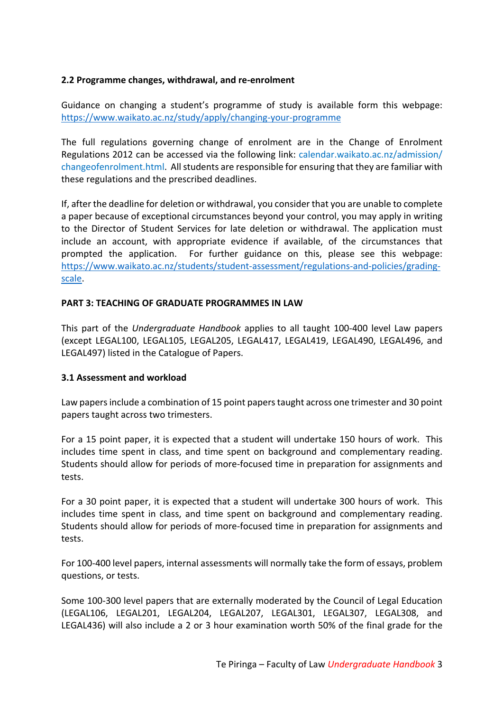# **2.2 Programme changes, withdrawal, and re-enrolment**

Guidance on changing a student's programme of study is available form this webpage: https://www.waikato.ac.nz/study/apply/changing-your-programme

The full regulations governing change of enrolment are in the Change of Enrolment Regulations 2012 can be accessed via the following link: calendar.waikato.ac.nz/admission/ changeofenrolment.html. All students are responsible for ensuring that they are familiar with these regulations and the prescribed deadlines.

If, after the deadline for deletion or withdrawal, you consider that you are unable to complete a paper because of exceptional circumstances beyond your control, you may apply in writing to the Director of Student Services for late deletion or withdrawal. The application must include an account, with appropriate evidence if available, of the circumstances that prompted the application. For further guidance on this, please see this webpage: https://www.waikato.ac.nz/students/student-assessment/regulations-and-policies/gradingscale.

#### **PART 3: TEACHING OF GRADUATE PROGRAMMES IN LAW**

This part of the *Undergraduate Handbook* applies to all taught 100-400 level Law papers (except LEGAL100, LEGAL105, LEGAL205, LEGAL417, LEGAL419, LEGAL490, LEGAL496, and LEGAL497) listed in the Catalogue of Papers.

#### **3.1 Assessment and workload**

Law papers include a combination of 15 point papers taught across one trimester and 30 point papers taught across two trimesters.

For a 15 point paper, it is expected that a student will undertake 150 hours of work. This includes time spent in class, and time spent on background and complementary reading. Students should allow for periods of more-focused time in preparation for assignments and tests.

For a 30 point paper, it is expected that a student will undertake 300 hours of work. This includes time spent in class, and time spent on background and complementary reading. Students should allow for periods of more-focused time in preparation for assignments and tests.

For 100-400 level papers, internal assessments will normally take the form of essays, problem questions, or tests.

Some 100-300 level papers that are externally moderated by the Council of Legal Education (LEGAL106, LEGAL201, LEGAL204, LEGAL207, LEGAL301, LEGAL307, LEGAL308, and LEGAL436) will also include a 2 or 3 hour examination worth 50% of the final grade for the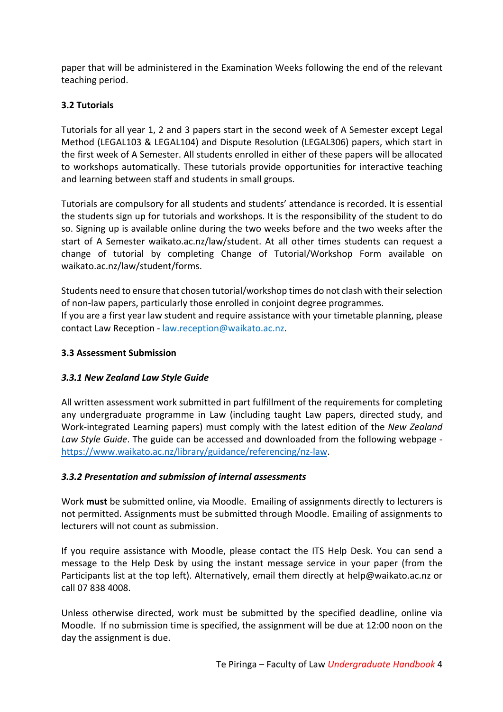paper that will be administered in the Examination Weeks following the end of the relevant teaching period.

# **3.2 Tutorials**

Tutorials for all year 1, 2 and 3 papers start in the second week of A Semester except Legal Method (LEGAL103 & LEGAL104) and Dispute Resolution (LEGAL306) papers, which start in the first week of A Semester. All students enrolled in either of these papers will be allocated to workshops automatically. These tutorials provide opportunities for interactive teaching and learning between staff and students in small groups.

Tutorials are compulsory for all students and students' attendance is recorded. It is essential the students sign up for tutorials and workshops. It is the responsibility of the student to do so. Signing up is available online during the two weeks before and the two weeks after the start of A Semester waikato.ac.nz/law/student. At all other times students can request a change of tutorial by completing Change of Tutorial/Workshop Form available on waikato.ac.nz/law/student/forms.

Students need to ensure that chosen tutorial/workshop times do not clash with their selection of non-law papers, particularly those enrolled in conjoint degree programmes. If you are a first year law student and require assistance with your timetable planning, please contact Law Reception - law.reception@waikato.ac.nz.

# **3.3 Assessment Submission**

# *3.3.1 New Zealand Law Style Guide*

All written assessment work submitted in part fulfillment of the requirements for completing any undergraduate programme in Law (including taught Law papers, directed study, and Work-integrated Learning papers) must comply with the latest edition of the *New Zealand Law Style Guide*. The guide can be accessed and downloaded from the following webpage https://www.waikato.ac.nz/library/guidance/referencing/nz-law.

# *3.3.2 Presentation and submission of internal assessments*

Work **must** be submitted online, via Moodle. Emailing of assignments directly to lecturers is not permitted. Assignments must be submitted through Moodle. Emailing of assignments to lecturers will not count as submission.

If you require assistance with Moodle, please contact the ITS Help Desk. You can send a message to the Help Desk by using the instant message service in your paper (from the Participants list at the top left). Alternatively, email them directly at help@waikato.ac.nz or call 07 838 4008.

Unless otherwise directed, work must be submitted by the specified deadline, online via Moodle. If no submission time is specified, the assignment will be due at 12:00 noon on the day the assignment is due.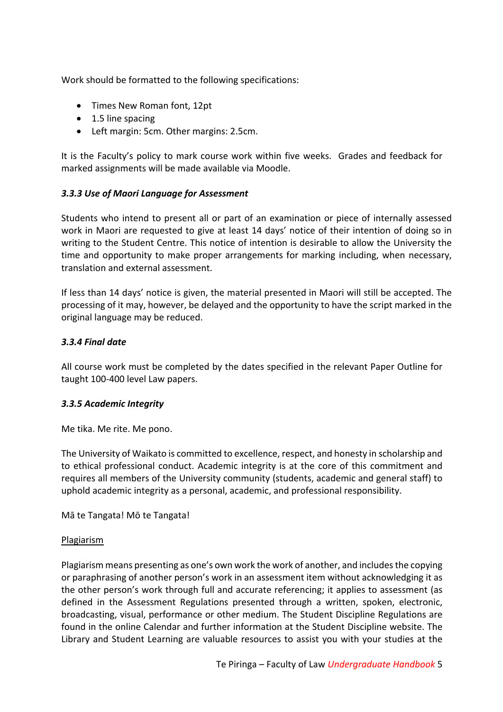Work should be formatted to the following specifications:

- Times New Roman font, 12pt
- 1.5 line spacing
- Left margin: 5cm. Other margins: 2.5cm.

It is the Faculty's policy to mark course work within five weeks. Grades and feedback for marked assignments will be made available via Moodle.

#### *3.3.3 Use of Maori Language for Assessment*

Students who intend to present all or part of an examination or piece of internally assessed work in Maori are requested to give at least 14 days' notice of their intention of doing so in writing to the Student Centre. This notice of intention is desirable to allow the University the time and opportunity to make proper arrangements for marking including, when necessary, translation and external assessment.

If less than 14 days' notice is given, the material presented in Maori will still be accepted. The processing of it may, however, be delayed and the opportunity to have the script marked in the original language may be reduced.

#### *3.3.4 Final date*

All course work must be completed by the dates specified in the relevant Paper Outline for taught 100-400 level Law papers.

#### *3.3.5 Academic Integrity*

Me tika. Me rite. Me pono.

The University of Waikato is committed to excellence, respect, and honesty in scholarship and to ethical professional conduct. Academic integrity is at the core of this commitment and requires all members of the University community (students, academic and general staff) to uphold academic integrity as a personal, academic, and professional responsibility.

Mā te Tangata! Mō te Tangata!

#### Plagiarism

Plagiarism means presenting as one's own work the work of another, and includes the copying or paraphrasing of another person's work in an assessment item without acknowledging it as the other person's work through full and accurate referencing; it applies to assessment (as defined in the Assessment Regulations presented through a written, spoken, electronic, broadcasting, visual, performance or other medium. The Student Discipline Regulations are found in the online Calendar and further information at the Student Discipline website. The Library and Student Learning are valuable resources to assist you with your studies at the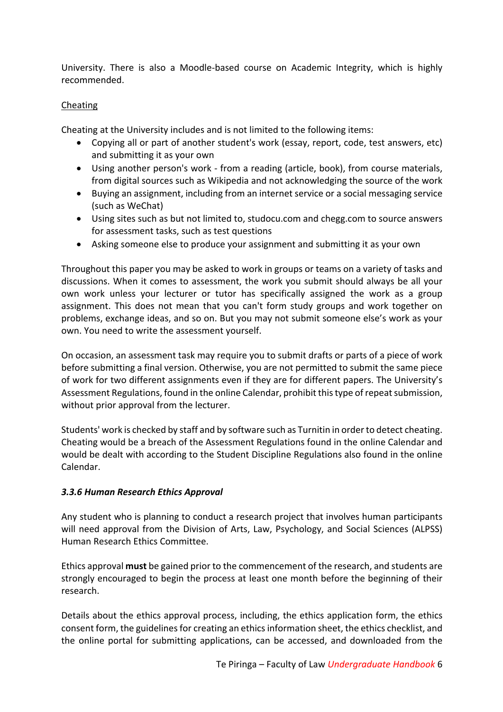University. There is also a Moodle-based course on Academic Integrity, which is highly recommended.

# **Cheating**

Cheating at the University includes and is not limited to the following items:

- Copying all or part of another student's work (essay, report, code, test answers, etc) and submitting it as your own
- Using another person's work from a reading (article, book), from course materials, from digital sources such as Wikipedia and not acknowledging the source of the work
- Buying an assignment, including from an internet service or a social messaging service (such as WeChat)
- Using sites such as but not limited to, studocu.com and chegg.com to source answers for assessment tasks, such as test questions
- Asking someone else to produce your assignment and submitting it as your own

Throughout this paper you may be asked to work in groups or teams on a variety of tasks and discussions. When it comes to assessment, the work you submit should always be all your own work unless your lecturer or tutor has specifically assigned the work as a group assignment. This does not mean that you can't form study groups and work together on problems, exchange ideas, and so on. But you may not submit someone else's work as your own. You need to write the assessment yourself.

On occasion, an assessment task may require you to submit drafts or parts of a piece of work before submitting a final version. Otherwise, you are not permitted to submit the same piece of work for two different assignments even if they are for different papers. The University's Assessment Regulations, found in the online Calendar, prohibit this type of repeat submission, without prior approval from the lecturer.

Students' work is checked by staff and by software such as Turnitin in order to detect cheating. Cheating would be a breach of the Assessment Regulations found in the online Calendar and would be dealt with according to the Student Discipline Regulations also found in the online Calendar.

# *3.3.6 Human Research Ethics Approval*

Any student who is planning to conduct a research project that involves human participants will need approval from the Division of Arts, Law, Psychology, and Social Sciences (ALPSS) Human Research Ethics Committee.

Ethics approval **must** be gained prior to the commencement of the research, and students are strongly encouraged to begin the process at least one month before the beginning of their research.

Details about the ethics approval process, including, the ethics application form, the ethics consent form, the guidelines for creating an ethics information sheet, the ethics checklist, and the online portal for submitting applications, can be accessed, and downloaded from the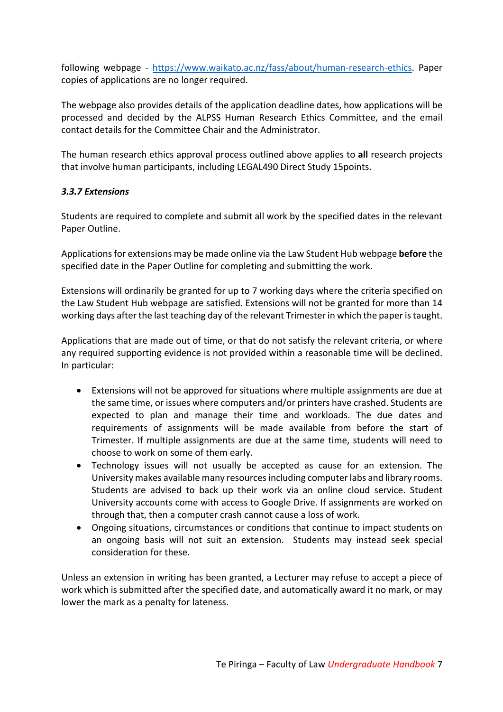following webpage - https://www.waikato.ac.nz/fass/about/human-research-ethics. Paper copies of applications are no longer required.

The webpage also provides details of the application deadline dates, how applications will be processed and decided by the ALPSS Human Research Ethics Committee, and the email contact details for the Committee Chair and the Administrator.

The human research ethics approval process outlined above applies to **all** research projects that involve human participants, including LEGAL490 Direct Study 15points.

#### *3.3.7 Extensions*

Students are required to complete and submit all work by the specified dates in the relevant Paper Outline.

Applications for extensions may be made online via the Law Student Hub webpage **before** the specified date in the Paper Outline for completing and submitting the work.

Extensions will ordinarily be granted for up to 7 working days where the criteria specified on the Law Student Hub webpage are satisfied. Extensions will not be granted for more than 14 working days after the last teaching day of the relevant Trimester in which the paper is taught.

Applications that are made out of time, or that do not satisfy the relevant criteria, or where any required supporting evidence is not provided within a reasonable time will be declined. In particular:

- Extensions will not be approved for situations where multiple assignments are due at the same time, or issues where computers and/or printers have crashed. Students are expected to plan and manage their time and workloads. The due dates and requirements of assignments will be made available from before the start of Trimester. If multiple assignments are due at the same time, students will need to choose to work on some of them early.
- Technology issues will not usually be accepted as cause for an extension. The University makes available many resources including computer labs and library rooms. Students are advised to back up their work via an online cloud service. Student University accounts come with access to Google Drive. If assignments are worked on through that, then a computer crash cannot cause a loss of work.
- Ongoing situations, circumstances or conditions that continue to impact students on an ongoing basis will not suit an extension. Students may instead seek special consideration for these.

Unless an extension in writing has been granted, a Lecturer may refuse to accept a piece of work which is submitted after the specified date, and automatically award it no mark, or may lower the mark as a penalty for lateness.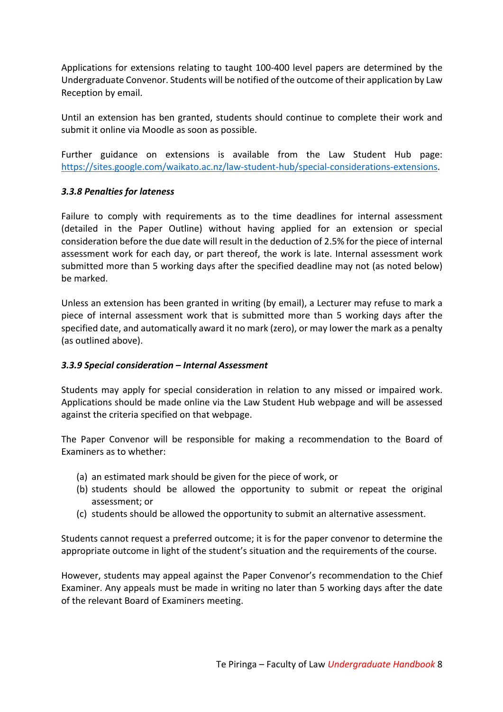Applications for extensions relating to taught 100-400 level papers are determined by the Undergraduate Convenor. Students will be notified of the outcome of their application by Law Reception by email.

Until an extension has ben granted, students should continue to complete their work and submit it online via Moodle as soon as possible.

Further guidance on extensions is available from the Law Student Hub page: https://sites.google.com/waikato.ac.nz/law-student-hub/special-considerations-extensions.

#### *3.3.8 Penalties for lateness*

Failure to comply with requirements as to the time deadlines for internal assessment (detailed in the Paper Outline) without having applied for an extension or special consideration before the due date will result in the deduction of 2.5% for the piece of internal assessment work for each day, or part thereof, the work is late. Internal assessment work submitted more than 5 working days after the specified deadline may not (as noted below) be marked.

Unless an extension has been granted in writing (by email), a Lecturer may refuse to mark a piece of internal assessment work that is submitted more than 5 working days after the specified date, and automatically award it no mark (zero), or may lower the mark as a penalty (as outlined above).

# *3.3.9 Special consideration – Internal Assessment*

Students may apply for special consideration in relation to any missed or impaired work. Applications should be made online via the Law Student Hub webpage and will be assessed against the criteria specified on that webpage.

The Paper Convenor will be responsible for making a recommendation to the Board of Examiners as to whether:

- (a) an estimated mark should be given for the piece of work, or
- (b) students should be allowed the opportunity to submit or repeat the original assessment; or
- (c) students should be allowed the opportunity to submit an alternative assessment.

Students cannot request a preferred outcome; it is for the paper convenor to determine the appropriate outcome in light of the student's situation and the requirements of the course.

However, students may appeal against the Paper Convenor's recommendation to the Chief Examiner. Any appeals must be made in writing no later than 5 working days after the date of the relevant Board of Examiners meeting.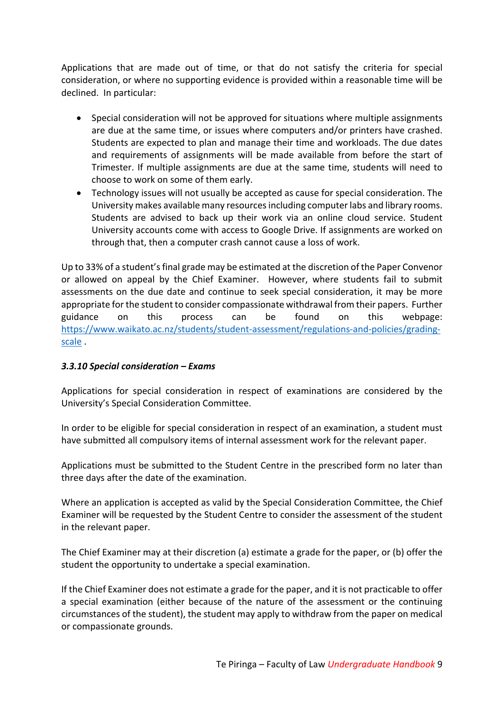Applications that are made out of time, or that do not satisfy the criteria for special consideration, or where no supporting evidence is provided within a reasonable time will be declined. In particular:

- Special consideration will not be approved for situations where multiple assignments are due at the same time, or issues where computers and/or printers have crashed. Students are expected to plan and manage their time and workloads. The due dates and requirements of assignments will be made available from before the start of Trimester. If multiple assignments are due at the same time, students will need to choose to work on some of them early.
- Technology issues will not usually be accepted as cause for special consideration. The University makes available many resources including computer labs and library rooms. Students are advised to back up their work via an online cloud service. Student University accounts come with access to Google Drive. If assignments are worked on through that, then a computer crash cannot cause a loss of work.

Up to 33% of a student's final grade may be estimated at the discretion of the Paper Convenor or allowed on appeal by the Chief Examiner. However, where students fail to submit assessments on the due date and continue to seek special consideration, it may be more appropriate for the student to consider compassionate withdrawal from their papers. Further guidance on this process can be found on this webpage: https://www.waikato.ac.nz/students/student-assessment/regulations-and-policies/gradingscale .

# *3.3.10 Special consideration – Exams*

Applications for special consideration in respect of examinations are considered by the University's Special Consideration Committee.

In order to be eligible for special consideration in respect of an examination, a student must have submitted all compulsory items of internal assessment work for the relevant paper.

Applications must be submitted to the Student Centre in the prescribed form no later than three days after the date of the examination.

Where an application is accepted as valid by the Special Consideration Committee, the Chief Examiner will be requested by the Student Centre to consider the assessment of the student in the relevant paper.

The Chief Examiner may at their discretion (a) estimate a grade for the paper, or (b) offer the student the opportunity to undertake a special examination.

If the Chief Examiner does not estimate a grade for the paper, and it is not practicable to offer a special examination (either because of the nature of the assessment or the continuing circumstances of the student), the student may apply to withdraw from the paper on medical or compassionate grounds.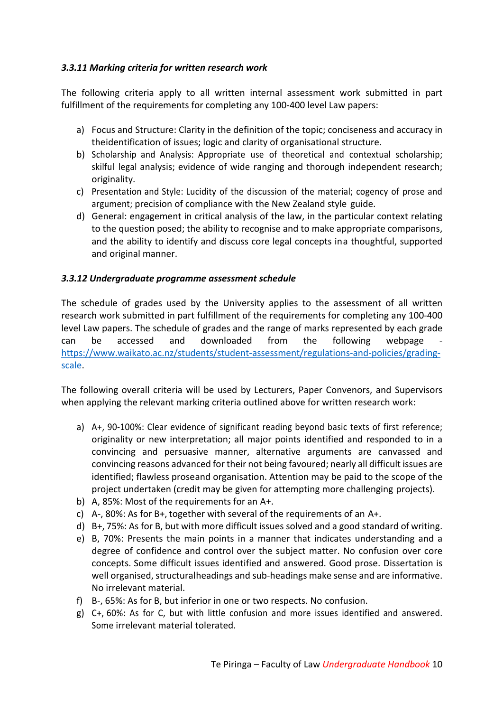# *3.3.11 Marking criteria for written research work*

The following criteria apply to all written internal assessment work submitted in part fulfillment of the requirements for completing any 100-400 level Law papers:

- a) Focus and Structure: Clarity in the definition of the topic; conciseness and accuracy in theidentification of issues; logic and clarity of organisational structure.
- b) Scholarship and Analysis: Appropriate use of theoretical and contextual scholarship; skilful legal analysis; evidence of wide ranging and thorough independent research; originality.
- c) Presentation and Style: Lucidity of the discussion of the material; cogency of prose and argument; precision of compliance with the New Zealand style guide.
- d) General: engagement in critical analysis of the law, in the particular context relating to the question posed; the ability to recognise and to make appropriate comparisons, and the ability to identify and discuss core legal concepts ina thoughtful, supported and original manner.

# *3.3.12 Undergraduate programme assessment schedule*

The schedule of grades used by the University applies to the assessment of all written research work submitted in part fulfillment of the requirements for completing any 100-400 level Law papers. The schedule of grades and the range of marks represented by each grade can be accessed and downloaded from the following webpage https://www.waikato.ac.nz/students/student-assessment/regulations-and-policies/gradingscale.

The following overall criteria will be used by Lecturers, Paper Convenors, and Supervisors when applying the relevant marking criteria outlined above for written research work:

- a) A+, 90-100%: Clear evidence of significant reading beyond basic texts of first reference; originality or new interpretation; all major points identified and responded to in a convincing and persuasive manner, alternative arguments are canvassed and convincing reasons advanced for their not being favoured; nearly all difficult issues are identified; flawless proseand organisation. Attention may be paid to the scope of the project undertaken (credit may be given for attempting more challenging projects).
- b) A, 85%: Most of the requirements for an A+.
- c) A-, 80%: As for B+, together with several of the requirements of an A+.
- d) B+, 75%: As for B, but with more difficult issues solved and a good standard of writing.
- e) B, 70%: Presents the main points in a manner that indicates understanding and a degree of confidence and control over the subject matter. No confusion over core concepts. Some difficult issues identified and answered. Good prose. Dissertation is well organised, structuralheadings and sub-headings make sense and are informative. No irrelevant material.
- f) B-, 65%: As for B, but inferior in one or two respects. No confusion.
- g) C+, 60%: As for C, but with little confusion and more issues identified and answered. Some irrelevant material tolerated.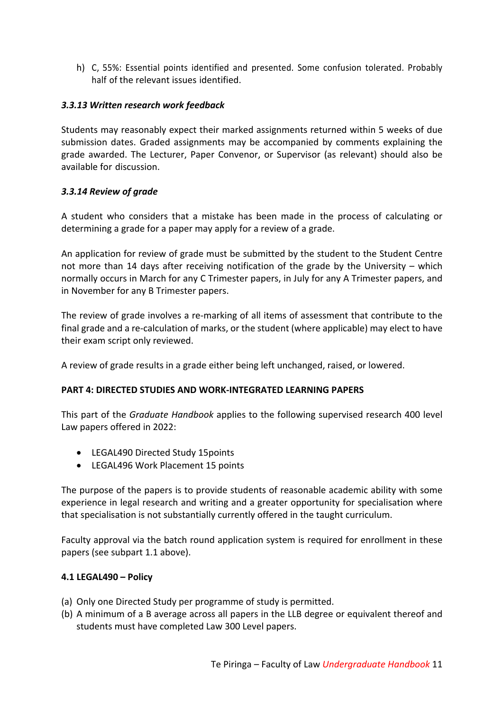h) C, 55%: Essential points identified and presented. Some confusion tolerated. Probably half of the relevant issues identified.

# *3.3.13 Written research work feedback*

Students may reasonably expect their marked assignments returned within 5 weeks of due submission dates. Graded assignments may be accompanied by comments explaining the grade awarded. The Lecturer, Paper Convenor, or Supervisor (as relevant) should also be available for discussion.

#### *3.3.14 Review of grade*

A student who considers that a mistake has been made in the process of calculating or determining a grade for a paper may apply for a review of a grade.

An application for review of grade must be submitted by the student to the Student Centre not more than 14 days after receiving notification of the grade by the University – which normally occurs in March for any C Trimester papers, in July for any A Trimester papers, and in November for any B Trimester papers.

The review of grade involves a re-marking of all items of assessment that contribute to the final grade and a re-calculation of marks, or the student (where applicable) may elect to have their exam script only reviewed.

A review of grade results in a grade either being left unchanged, raised, or lowered.

# **PART 4: DIRECTED STUDIES AND WORK-INTEGRATED LEARNING PAPERS**

This part of the *Graduate Handbook* applies to the following supervised research 400 level Law papers offered in 2022:

- LEGAL490 Directed Study 15points
- LEGAL496 Work Placement 15 points

The purpose of the papers is to provide students of reasonable academic ability with some experience in legal research and writing and a greater opportunity for specialisation where that specialisation is not substantially currently offered in the taught curriculum.

Faculty approval via the batch round application system is required for enrollment in these papers (see subpart 1.1 above).

#### **4.1 LEGAL490 – Policy**

- (a) Only one Directed Study per programme of study is permitted.
- (b) A minimum of a B average across all papers in the LLB degree or equivalent thereof and students must have completed Law 300 Level papers.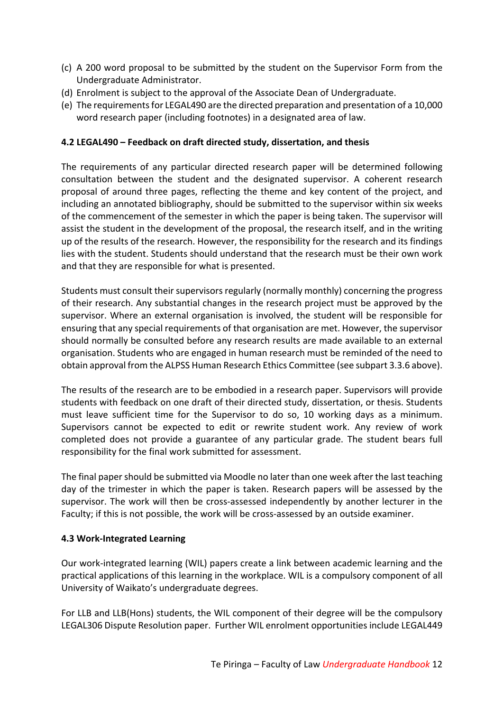- (c) A 200 word proposal to be submitted by the student on the Supervisor Form from the Undergraduate Administrator.
- (d) Enrolment is subject to the approval of the Associate Dean of Undergraduate.
- (e) The requirements for LEGAL490 are the directed preparation and presentation of a 10,000 word research paper (including footnotes) in a designated area of law.

### **4.2 LEGAL490 – Feedback on draft directed study, dissertation, and thesis**

The requirements of any particular directed research paper will be determined following consultation between the student and the designated supervisor. A coherent research proposal of around three pages, reflecting the theme and key content of the project, and including an annotated bibliography, should be submitted to the supervisor within six weeks of the commencement of the semester in which the paper is being taken. The supervisor will assist the student in the development of the proposal, the research itself, and in the writing up of the results of the research. However, the responsibility for the research and its findings lies with the student. Students should understand that the research must be their own work and that they are responsible for what is presented.

Students must consult their supervisors regularly (normally monthly) concerning the progress of their research. Any substantial changes in the research project must be approved by the supervisor. Where an external organisation is involved, the student will be responsible for ensuring that any special requirements of that organisation are met. However, the supervisor should normally be consulted before any research results are made available to an external organisation. Students who are engaged in human research must be reminded of the need to obtain approval from the ALPSS Human Research Ethics Committee (see subpart 3.3.6 above).

The results of the research are to be embodied in a research paper. Supervisors will provide students with feedback on one draft of their directed study, dissertation, or thesis. Students must leave sufficient time for the Supervisor to do so, 10 working days as a minimum. Supervisors cannot be expected to edit or rewrite student work. Any review of work completed does not provide a guarantee of any particular grade. The student bears full responsibility for the final work submitted for assessment.

The final paper should be submitted via Moodle no later than one week after the last teaching day of the trimester in which the paper is taken. Research papers will be assessed by the supervisor. The work will then be cross-assessed independently by another lecturer in the Faculty; if this is not possible, the work will be cross-assessed by an outside examiner.

#### **4.3 Work-Integrated Learning**

Our work-integrated learning (WIL) papers create a link between academic learning and the practical applications of this learning in the workplace. WIL is a compulsory component of all University of Waikato's undergraduate degrees.

For LLB and LLB(Hons) students, the WIL component of their degree will be the compulsory LEGAL306 Dispute Resolution paper. Further WIL enrolment opportunities include LEGAL449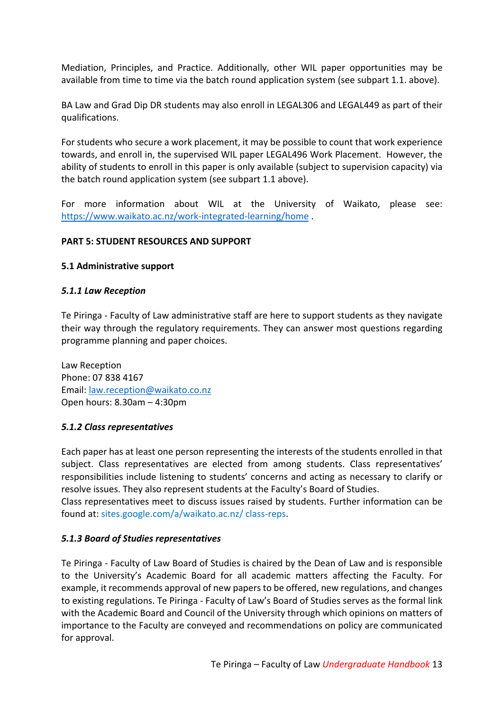Mediation, Principles, and Practice. Additionally, other WIL paper opportunities may be available from time to time via the batch round application system (see subpart 1.1. above).

BA Law and Grad Dip DR students may also enroll in LEGAL306 and LEGAL449 as part of their qualifications.

For students who secure a work placement, it may be possible to count that work experience towards, and enroll in, the supervised WIL paper LEGAL496 Work Placement. However, the ability of students to enroll in this paper is only available (subject to supervision capacity) via the batch round application system (see subpart 1.1 above).

For more information about WIL at the University of Waikato, please see: https://www.waikato.ac.nz/work-integrated-learning/home .

#### **PART 5: STUDENT RESOURCES AND SUPPORT**

#### **5.1 Administrative support**

#### *5.1.1 Law Reception*

Te Piringa - Faculty of Law administrative staff are here to support students as they navigate their way through the regulatory requirements. They can answer most questions regarding programme planning and paper choices.

Law Reception Phone: 07 838 4167 Email: law.reception@waikato.co.nz Open hours: 8.30am – 4:30pm

#### *5.1.2 Class representatives*

Each paper has at least one person representing the interests of the students enrolled in that subject. Class representatives are elected from among students. Class representatives' responsibilities include listening to students' concerns and acting as necessary to clarify or resolve issues. They also represent students at the Faculty's Board of Studies.

Class representatives meet to discuss issues raised by students. Further information can be found at: sites.google.com/a/waikato.ac.nz/ class-reps.

# *5.1.3 Board of Studies representatives*

Te Piringa - Faculty of Law Board of Studies is chaired by the Dean of Law and is responsible to the University's Academic Board for all academic matters affecting the Faculty. For example, it recommends approval of new papers to be offered, new regulations, and changes to existing regulations. Te Piringa - Faculty of Law's Board of Studies serves as the formal link with the Academic Board and Council of the University through which opinions on matters of importance to the Faculty are conveyed and recommendations on policy are communicated for approval.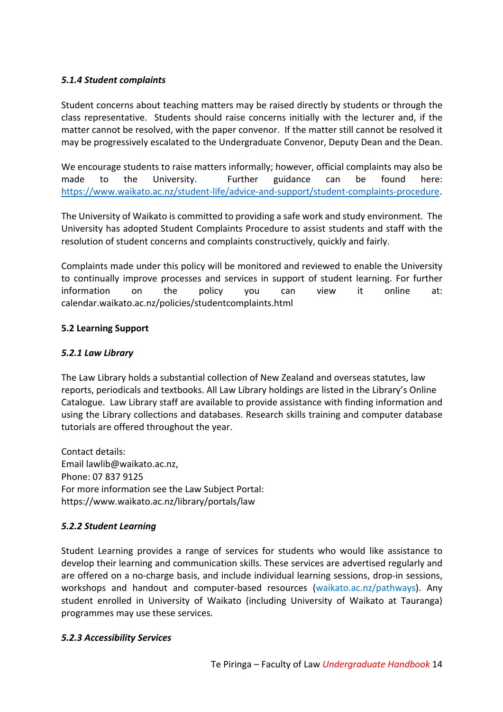# *5.1.4 Student complaints*

Student concerns about teaching matters may be raised directly by students or through the class representative. Students should raise concerns initially with the lecturer and, if the matter cannot be resolved, with the paper convenor. If the matter still cannot be resolved it may be progressively escalated to the Undergraduate Convenor, Deputy Dean and the Dean.

We encourage students to raise matters informally; however, official complaints may also be made to the University. Further guidance can be found here: https://www.waikato.ac.nz/student-life/advice-and-support/student-complaints-procedure.

The University of Waikato is committed to providing a safe work and study environment. The University has adopted Student Complaints Procedure to assist students and staff with the resolution of student concerns and complaints constructively, quickly and fairly.

Complaints made under this policy will be monitored and reviewed to enable the University to continually improve processes and services in support of student learning. For further information on the policy you can view it online at: calendar.waikato.ac.nz/policies/studentcomplaints.html

# **5.2 Learning Support**

# *5.2.1 Law Library*

The Law Library holds a substantial collection of New Zealand and overseas statutes, law reports, periodicals and textbooks. All Law Library holdings are listed in the Library's Online Catalogue. Law Library staff are available to provide assistance with finding information and using the Library collections and databases. Research skills training and computer database tutorials are offered throughout the year.

Contact details: Email lawlib@waikato.ac.nz, Phone: 07 837 9125 For more information see the Law Subject Portal: https://www.waikato.ac.nz/library/portals/law

# *5.2.2 Student Learning*

Student Learning provides a range of services for students who would like assistance to develop their learning and communication skills. These services are advertised regularly and are offered on a no-charge basis, and include individual learning sessions, drop-in sessions, workshops and handout and computer-based resources (waikato.ac.nz/pathways). Any student enrolled in University of Waikato (including University of Waikato at Tauranga) programmes may use these services.

# *5.2.3 Accessibility Services*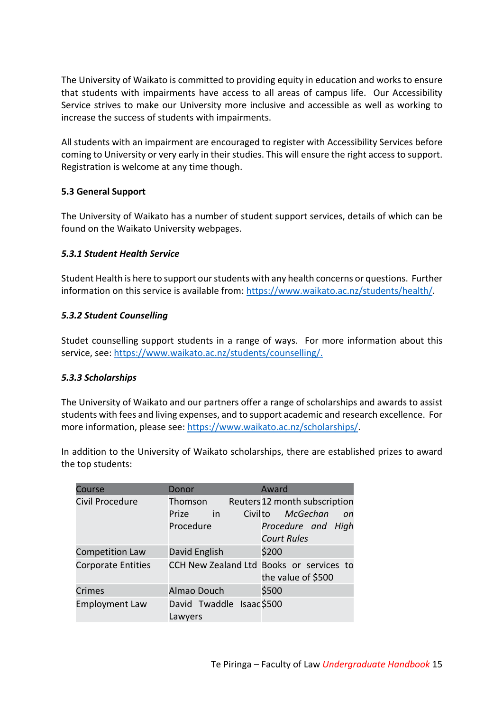The University of Waikato is committed to providing equity in education and works to ensure that students with impairments have access to all areas of campus life. Our Accessibility Service strives to make our University more inclusive and accessible as well as working to increase the success of students with impairments.

All students with an impairment are encouraged to register with Accessibility Services before coming to University or very early in their studies. This will ensure the right access to support. Registration is welcome at any time though.

# **5.3 General Support**

The University of Waikato has a number of student support services, details of which can be found on the Waikato University webpages.

# *5.3.1 Student Health Service*

Student Health is here to support our students with any health concerns or questions. Further information on this service is available from: https://www.waikato.ac.nz/students/health/.

# *5.3.2 Student Counselling*

Studet counselling support students in a range of ways. For more information about this service, see: https://www.waikato.ac.nz/students/counselling/.

# *5.3.3 Scholarships*

The University of Waikato and our partners offer a range of scholarships and awards to assist students with fees and living expenses, and to support academic and research excellence. For more information, please see: https://www.waikato.ac.nz/scholarships/.

In addition to the University of Waikato scholarships, there are established prizes to award the top students:

| Course                    | Donor                               | Award                                                          |
|---------------------------|-------------------------------------|----------------------------------------------------------------|
| Civil Procedure           | Thomson                             | Reuters 12 month subscription                                  |
|                           | Prize<br>in                         | Civilto<br>McGechan<br>on                                      |
|                           | Procedure                           | Procedure and High                                             |
|                           |                                     | <b>Court Rules</b>                                             |
| <b>Competition Law</b>    | David English                       | \$200                                                          |
| <b>Corporate Entities</b> |                                     | CCH New Zealand Ltd Books or services to<br>the value of \$500 |
| <b>Crimes</b>             | Almao Douch                         | \$500                                                          |
| <b>Employment Law</b>     | David Twaddle Isaac\$500<br>Lawyers |                                                                |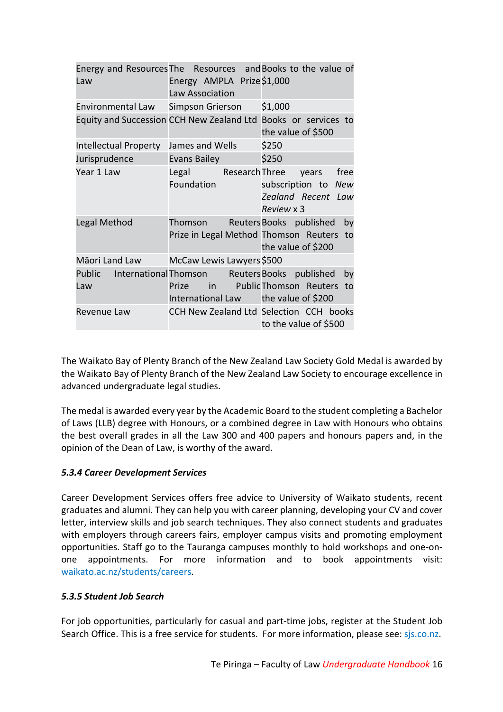| Law                                | Energy AMPLA Prize\$1,000<br>Law Association                                  | Energy and Resources The Resources and Books to the value of                         |
|------------------------------------|-------------------------------------------------------------------------------|--------------------------------------------------------------------------------------|
| Environmental Law Simpson Grierson |                                                                               | \$1,000                                                                              |
|                                    |                                                                               | Equity and Succession CCH New Zealand Ltd Books or services to<br>the value of \$500 |
| <b>Intellectual Property</b>       | James and Wells                                                               | \$250                                                                                |
| Jurisprudence                      | Evans Bailey                                                                  | \$250                                                                                |
| Year 1 Law                         | Legal Research Three<br>Foundation                                            | free<br>years<br>subscription to New<br>Zealand Recent Law<br>Review x 3             |
| Legal Method                       | Thomson<br>Prize in Legal Method Thomson Reuters                              | Reuters Books published<br>by<br>to<br>the value of \$200                            |
| Māori Land Law                     | McCaw Lewis Lawyers \$500                                                     |                                                                                      |
| Public<br>Law                      | <b>International Thomson</b><br>Prize<br>International Law the value of \$200 | Reuters Books published<br>by<br>in Public Thomson Reuters<br>to                     |
| Revenue Law                        |                                                                               | CCH New Zealand Ltd Selection CCH books<br>to the value of \$500                     |

The Waikato Bay of Plenty Branch of the New Zealand Law Society Gold Medal is awarded by the Waikato Bay of Plenty Branch of the New Zealand Law Society to encourage excellence in advanced undergraduate legal studies.

The medal is awarded every year by the Academic Board to the student completing a Bachelor of Laws (LLB) degree with Honours, or a combined degree in Law with Honours who obtains the best overall grades in all the Law 300 and 400 papers and honours papers and, in the opinion of the Dean of Law, is worthy of the award.

# *5.3.4 Career Development Services*

Career Development Services offers free advice to University of Waikato students, recent graduates and alumni. They can help you with career planning, developing your CV and cover letter, interview skills and job search techniques. They also connect students and graduates with employers through careers fairs, employer campus visits and promoting employment opportunities. Staff go to the Tauranga campuses monthly to hold workshops and one-onone appointments. For more information and to book appointments visit: waikato.ac.nz/students/careers.

# *5.3.5 Student Job Search*

For job opportunities, particularly for casual and part-time jobs, register at the Student Job Search Office. This is a free service for students. For more information, please see: sjs.co.nz.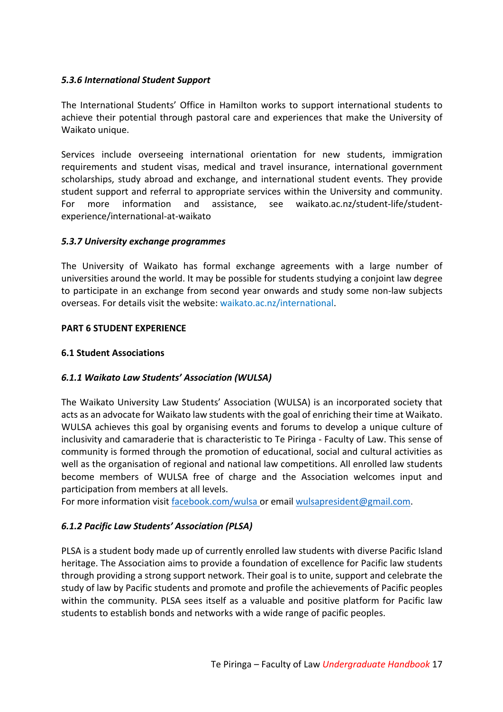# *5.3.6 International Student Support*

The International Students' Office in Hamilton works to support international students to achieve their potential through pastoral care and experiences that make the University of Waikato unique.

Services include overseeing international orientation for new students, immigration requirements and student visas, medical and travel insurance, international government scholarships, study abroad and exchange, and international student events. They provide student support and referral to appropriate services within the University and community. For more information and assistance, see waikato.ac.nz/student-life/studentexperience/international-at-waikato

#### *5.3.7 University exchange programmes*

The University of Waikato has formal exchange agreements with a large number of universities around the world. It may be possible for students studying a conjoint law degree to participate in an exchange from second year onwards and study some non-law subjects overseas. For details visit the website: waikato.ac.nz/international.

#### **PART 6 STUDENT EXPERIENCE**

#### **6.1 Student Associations**

# *6.1.1 Waikato Law Students' Association (WULSA)*

The Waikato University Law Students' Association (WULSA) is an incorporated society that acts as an advocate for Waikato law students with the goal of enriching their time at Waikato. WULSA achieves this goal by organising events and forums to develop a unique culture of inclusivity and camaraderie that is characteristic to Te Piringa - Faculty of Law. This sense of community is formed through the promotion of educational, social and cultural activities as well as the organisation of regional and national law competitions. All enrolled law students become members of WULSA free of charge and the Association welcomes input and participation from members at all levels.

For more information visit facebook.com/wulsa or email wulsapresident@gmail.com.

# *6.1.2 Pacific Law Students' Association (PLSA)*

PLSA is a student body made up of currently enrolled law students with diverse Pacific Island heritage. The Association aims to provide a foundation of excellence for Pacific law students through providing a strong support network. Their goal is to unite, support and celebrate the study of law by Pacific students and promote and profile the achievements of Pacific peoples within the community. PLSA sees itself as a valuable and positive platform for Pacific law students to establish bonds and networks with a wide range of pacific peoples.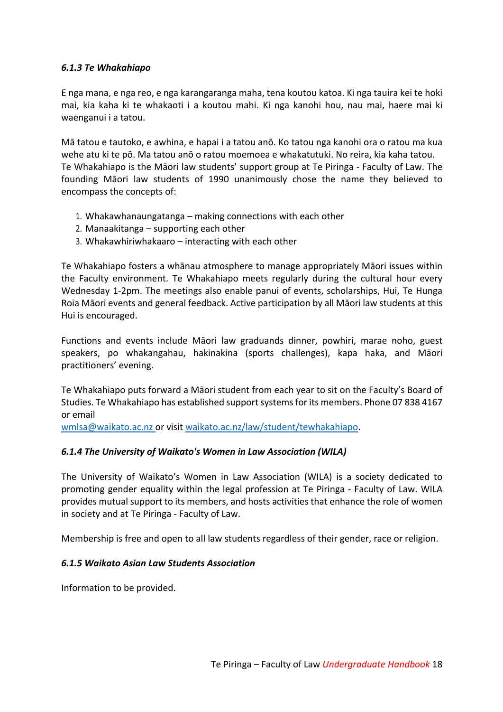#### *6.1.3 Te Whakahiapo*

E nga mana, e nga reo, e nga karangaranga maha, tena koutou katoa. Ki nga tauira kei te hoki mai, kia kaha ki te whakaoti i a koutou mahi. Ki nga kanohi hou, nau mai, haere mai ki waenganui i a tatou.

Mā tatou e tautoko, e awhina, e hapai i a tatou anō. Ko tatou nga kanohi ora o ratou ma kua wehe atu ki te pō. Ma tatou anō o ratou moemoea e whakatutuki. No reira, kia kaha tatou. Te Whakahiapo is the Māori law students' support group at Te Piringa - Faculty of Law. The founding Māori law students of 1990 unanimously chose the name they believed to encompass the concepts of:

- 1. Whakawhanaungatanga making connections with each other
- 2. Manaakitanga supporting each other
- 3. Whakawhiriwhakaaro interacting with each other

Te Whakahiapo fosters a whānau atmosphere to manage appropriately Māori issues within the Faculty environment. Te Whakahiapo meets regularly during the cultural hour every Wednesday 1-2pm. The meetings also enable panui of events, scholarships, Hui, Te Hunga Roia Māori events and general feedback. Active participation by all Māori law students at this Hui is encouraged.

Functions and events include Māori law graduands dinner, powhiri, marae noho, guest speakers, po whakangahau, hakinakina (sports challenges), kapa haka, and Māori practitioners' evening.

Te Whakahiapo puts forward a Māori student from each year to sit on the Faculty's Board of Studies. Te Whakahiapo has established support systems for its members. Phone 07 838 4167 or email

wmlsa@waikato.ac.nz or visit waikato.ac.nz/law/student/tewhakahiapo.

# *6.1.4 The University of Waikato's Women in Law Association (WILA)*

The University of Waikato's Women in Law Association (WILA) is a society dedicated to promoting gender equality within the legal profession at Te Piringa - Faculty of Law. WILA provides mutual support to its members, and hosts activities that enhance the role of women in society and at Te Piringa - Faculty of Law.

Membership is free and open to all law students regardless of their gender, race or religion.

#### *6.1.5 Waikato Asian Law Students Association*

Information to be provided.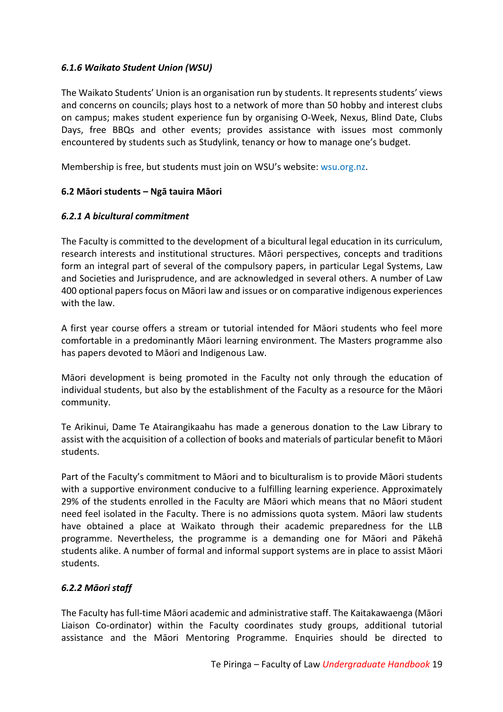# *6.1.6 Waikato Student Union (WSU)*

The Waikato Students' Union is an organisation run by students. It represents students' views and concerns on councils; plays host to a network of more than 50 hobby and interest clubs on campus; makes student experience fun by organising O-Week, Nexus, Blind Date, Clubs Days, free BBQs and other events; provides assistance with issues most commonly encountered by students such as Studylink, tenancy or how to manage one's budget.

Membership is free, but students must join on WSU's website: wsu.org.nz.

# **6.2 Māori students – Ngā tauira Māori**

#### *6.2.1 A bicultural commitment*

The Faculty is committed to the development of a bicultural legal education in its curriculum, research interests and institutional structures. Māori perspectives, concepts and traditions form an integral part of several of the compulsory papers, in particular Legal Systems, Law and Societies and Jurisprudence, and are acknowledged in several others. A number of Law 400 optional papers focus on Māori law and issues or on comparative indigenous experiences with the law.

A first year course offers a stream or tutorial intended for Māori students who feel more comfortable in a predominantly Māori learning environment. The Masters programme also has papers devoted to Māori and Indigenous Law.

Māori development is being promoted in the Faculty not only through the education of individual students, but also by the establishment of the Faculty as a resource for the Māori community.

Te Arikinui, Dame Te Atairangikaahu has made a generous donation to the Law Library to assist with the acquisition of a collection of books and materials of particular benefit to Māori students.

Part of the Faculty's commitment to Māori and to biculturalism is to provide Māori students with a supportive environment conducive to a fulfilling learning experience. Approximately 29% of the students enrolled in the Faculty are Māori which means that no Māori student need feel isolated in the Faculty. There is no admissions quota system. Māori law students have obtained a place at Waikato through their academic preparedness for the LLB programme. Nevertheless, the programme is a demanding one for Māori and Pākehā students alike. A number of formal and informal support systems are in place to assist Māori students.

# *6.2.2 Māori staff*

The Faculty has full-time Māori academic and administrative staff. The Kaitakawaenga (Māori Liaison Co-ordinator) within the Faculty coordinates study groups, additional tutorial assistance and the Māori Mentoring Programme. Enquiries should be directed to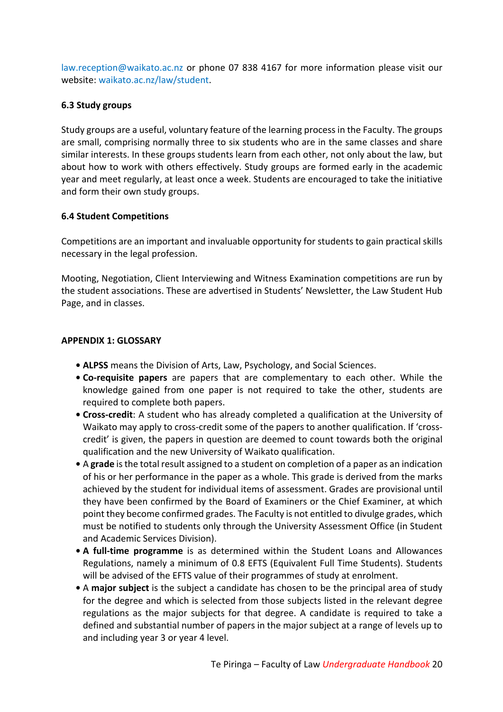law.reception@waikato.ac.nz or phone 07 838 4167 for more information please visit our website: waikato.ac.nz/law/student.

### **6.3 Study groups**

Study groups are a useful, voluntary feature of the learning process in the Faculty. The groups are small, comprising normally three to six students who are in the same classes and share similar interests. In these groups students learn from each other, not only about the law, but about how to work with others effectively. Study groups are formed early in the academic year and meet regularly, at least once a week. Students are encouraged to take the initiative and form their own study groups.

#### **6.4 Student Competitions**

Competitions are an important and invaluable opportunity for students to gain practical skills necessary in the legal profession.

Mooting, Negotiation, Client Interviewing and Witness Examination competitions are run by the student associations. These are advertised in Students' Newsletter, the Law Student Hub Page, and in classes.

#### **APPENDIX 1: GLOSSARY**

- **• ALPSS** means the Division of Arts, Law, Psychology, and Social Sciences.
- **• Co-requisite papers** are papers that are complementary to each other. While the knowledge gained from one paper is not required to take the other, students are required to complete both papers.
- **• Cross-credit**: A student who has already completed a qualification at the University of Waikato may apply to cross-credit some of the papers to another qualification. If 'crosscredit' is given, the papers in question are deemed to count towards both the original qualification and the new University of Waikato qualification.
- **•** A **grade** is the total result assigned to a student on completion of a paper as an indication of his or her performance in the paper as a whole. This grade is derived from the marks achieved by the student for individual items of assessment. Grades are provisional until they have been confirmed by the Board of Examiners or the Chief Examiner, at which point they become confirmed grades. The Faculty is not entitled to divulge grades, which must be notified to students only through the University Assessment Office (in Student and Academic Services Division).
- **• A full-time programme** is as determined within the Student Loans and Allowances Regulations, namely a minimum of 0.8 EFTS (Equivalent Full Time Students). Students will be advised of the EFTS value of their programmes of study at enrolment.
- **•** A **major subject** is the subject a candidate has chosen to be the principal area of study for the degree and which is selected from those subjects listed in the relevant degree regulations as the major subjects for that degree. A candidate is required to take a defined and substantial number of papers in the major subject at a range of levels up to and including year 3 or year 4 level.